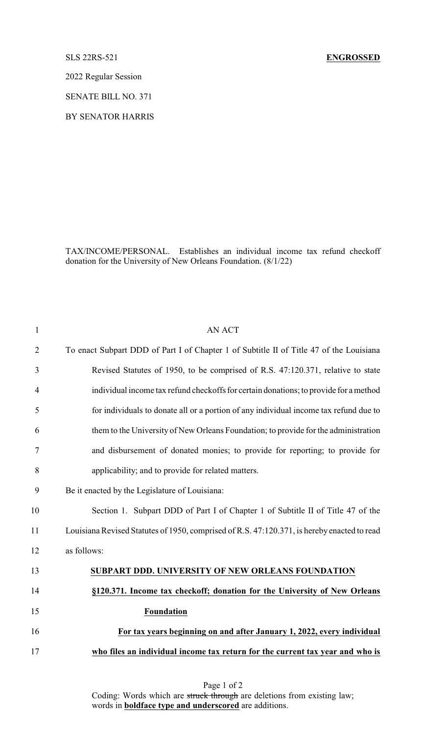## SLS 22RS-521 **ENGROSSED**

2022 Regular Session

SENATE BILL NO. 371

BY SENATOR HARRIS

TAX/INCOME/PERSONAL. Establishes an individual income tax refund checkoff donation for the University of New Orleans Foundation. (8/1/22)

| $\mathbf{1}$   | <b>AN ACT</b>                                                                               |
|----------------|---------------------------------------------------------------------------------------------|
| $\overline{2}$ | To enact Subpart DDD of Part I of Chapter 1 of Subtitle II of Title 47 of the Louisiana     |
| 3              | Revised Statutes of 1950, to be comprised of R.S. 47:120.371, relative to state             |
| $\overline{4}$ | individual income tax refund checkoffs for certain donations; to provide for a method       |
| 5              | for individuals to donate all or a portion of any individual income tax refund due to       |
| 6              | them to the University of New Orleans Foundation; to provide for the administration         |
| 7              | and disbursement of donated monies; to provide for reporting; to provide for                |
| 8              | applicability; and to provide for related matters.                                          |
| 9              | Be it enacted by the Legislature of Louisiana:                                              |
| 10             | Section 1. Subpart DDD of Part I of Chapter 1 of Subtitle II of Title 47 of the             |
| 11             | Louisiana Revised Statutes of 1950, comprised of R.S. 47:120.371, is hereby enacted to read |
| 12             | as follows:                                                                                 |
| 13             | SUBPART DDD. UNIVERSITY OF NEW ORLEANS FOUNDATION                                           |
| 14             | §120.371. Income tax checkoff; donation for the University of New Orleans                   |
| 15             | <b>Foundation</b>                                                                           |
| 16             | For tax years beginning on and after January 1, 2022, every individual                      |
| 17             | who files an individual income tax return for the current tax year and who is               |
|                |                                                                                             |

Page 1 of 2 Coding: Words which are struck through are deletions from existing law; words in **boldface type and underscored** are additions.